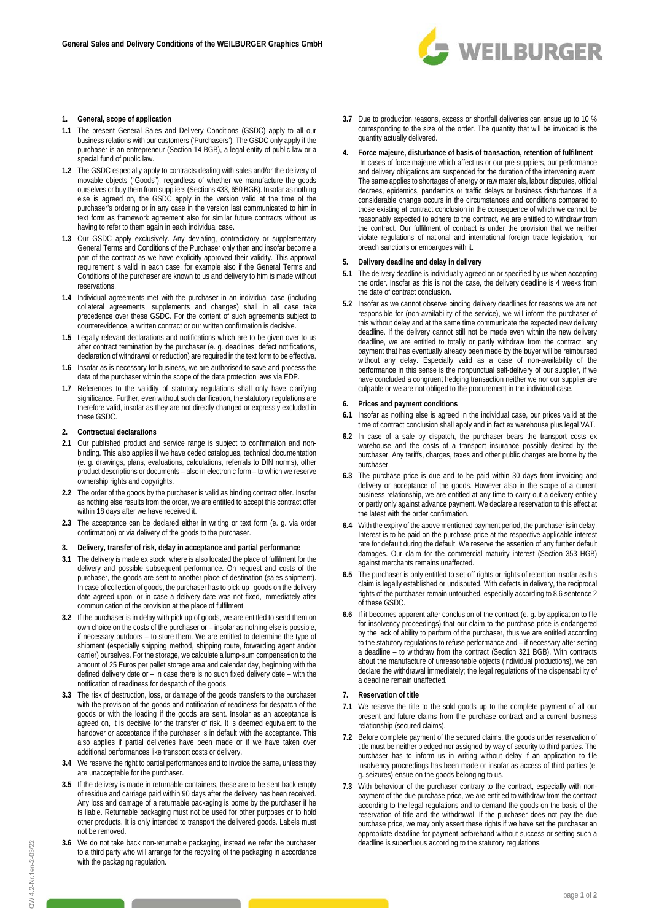

### **1. General, scope of application**

- **1.1** The present General Sales and Delivery Conditions (GSDC) apply to all our business relations with our customers ('Purchasers'). The GSDC only apply if the purchaser is an entrepreneur (Section 14 BGB), a legal entity of public law or a .<br>special fund of public law.
- **1.2** The GSDC especially apply to contracts dealing with sales and/or the delivery of movable objects ("Goods"), regardless of whether we manufacture the goods ourselves or buy them from suppliers (Sections 433, 650 BGB). Insofar as nothing else is agreed on, the GSDC apply in the version valid at the time of the purchaser's ordering or in any case in the version last communicated to him in text form as framework agreement also for similar future contracts without us having to refer to them again in each individual case.
- **1.3** Our GSDC apply exclusively. Any deviating, contradictory or supplementary General Terms and Conditions of the Purchaser only then and insofar become a part of the contract as we have explicitly approved their validity. This approval requirement is valid in each case, for example also if the General Terms and Conditions of the purchaser are known to us and delivery to him is made without reservations.
- **1.4** Individual agreements met with the purchaser in an individual case (including collateral agreements, supplements and changes) shall in all case take precedence over these GSDC. For the content of such agreements subject to counterevidence, a written contract or our written confirmation is decisive.
- **1.5** Legally relevant declarations and notifications which are to be given over to us after contract termination by the purchaser (e. g. deadlines, defect notifications, declaration of withdrawal or reduction) are required in the text form to be effective.
- **1.6** Insofar as is necessary for business, we are authorised to save and process the data of the purchaser within the scope of the data protection laws via EDP.
- **1.7** References to the validity of statutory regulations shall only have clarifying significance. Further, even without such clarification, the statutory regulations are therefore valid, insofar as they are not directly changed or expressly excluded in these GSDC.

### **2. Contractual declarations**

- **2.1** Our published product and service range is subject to confirmation and nonbinding. This also applies if we have ceded catalogues, technical documentation (e. g. drawings, plans, evaluations, calculations, referrals to DIN norms), other product descriptions or documents – also in electronic form – to which we reserve ownership rights and copyrights.
- **2.2** The order of the goods by the purchaser is valid as binding contract offer. Insofar as nothing else results from the order, we are entitled to accept this contract offer within 18 days after we have received it.
- **2.3** The acceptance can be declared either in writing or text form (e. g. via order confirmation) or via delivery of the goods to the purchaser.
- **3. Delivery, transfer of risk, delay in acceptance and partial performance**
- **3.1** The delivery is made ex stock, where is also located the place of fulfilment for the delivery and possible subsequent performance. On request and costs of the purchaser, the goods are sent to another place of destination (sales shipment). In case of collection of goods, the purchaser has to pick-up goods on the delivery date agreed upon, or in case a delivery date was not fixed, immediately after communication of the provision at the place of fulfilment.
- **3.2** If the purchaser is in delay with pick up of goods, we are entitled to send them on own choice on the costs of the purchaser or – insofar as nothing else is possible, if necessary outdoors – to store them. We are entitled to determine the type of shipment (especially shipping method, shipping route, forwarding agent and/or carrier) ourselves. For the storage, we calculate a lump-sum compensation to the amount of 25 Euros per pallet storage area and calendar day, beginning with the defined delivery date or – in case there is no such fixed delivery date – with the notification of readiness for despatch of the goods.
- **3.3** The risk of destruction, loss, or damage of the goods transfers to the purchaser with the provision of the goods and notification of readiness for despatch of the goods or with the loading if the goods are sent. Insofar as an acceptance is agreed on, it is decisive for the transfer of risk. It is deemed equivalent to the handover or acceptance if the purchaser is in default with the acceptance. This also applies if partial deliveries have been made or if we have taken over additional performances like transport costs or delivery.
- **3.4** We reserve the right to partial performances and to invoice the same, unless they are unacceptable for the purchaser.
- **3.5** If the delivery is made in returnable containers, these are to be sent back empty of residue and carriage paid within 90 days after the delivery has been received. Any loss and damage of a returnable packaging is borne by the purchaser if he is liable. Returnable packaging must not be used for other purposes or to hold other products. It is only intended to transport the delivered goods. Labels must not be removed.
- **3.6** We do not take back non-returnable packaging, instead we refer the purchaser to a third party who will arrange for the recycling of the packaging in accordance with the packaging regulation.
- **3.7** Due to production reasons, excess or shortfall deliveries can ensue up to 10 % corresponding to the size of the order. The quantity that will be invoiced is the quantity actually delivered.
- **4. Force majeure, disturbance of basis of transaction, retention of fulfilment** 
	- In cases of force majeure which affect us or our pre-suppliers, our performance and delivery obligations are suspended for the duration of the intervening event. The same applies to shortages of energy or raw materials, labour disputes, official decrees, epidemics, pandemics or traffic delays or business disturbances. If a considerable change occurs in the circumstances and conditions compared to those existing at contract conclusion in the consequence of which we cannot be reasonably expected to adhere to the contract, we are entitled to withdraw from the contract. Our fulfilment of contract is under the provision that we neither violate regulations of national and international foreign trade legislation, nor breach sanctions or embargoes with it.

# **5. Delivery deadline and delay in delivery**

- **5.1** The delivery deadline is individually agreed on or specified by us when accepting the order. Insofar as this is not the case, the delivery deadline is 4 weeks from the date of contract conclusion.
- **5.2** Insofar as we cannot observe binding delivery deadlines for reasons we are not responsible for (non-availability of the service), we will inform the purchaser of this without delay and at the same time communicate the expected new delivery deadline. If the delivery cannot still not be made even within the new delivery deadline, we are entitled to totally or partly withdraw from the contract; any payment that has eventually already been made by the buyer will be reimbursed without any delay. Especially valid as a case of non-availability of the performance in this sense is the nonpunctual self-delivery of our supplier, if we have concluded a congruent hedging transaction neither we nor our supplier are culpable or we are not obliged to the procurement in the individual case.

### **6. Prices and payment conditions**

- **6.1** Insofar as nothing else is agreed in the individual case, our prices valid at the time of contract conclusion shall apply and in fact ex warehouse plus legal VAT.
- **6.2** In case of a sale by dispatch, the purchaser bears the transport costs ex warehouse and the costs of a transport insurance possibly desired by the purchaser. Any tariffs, charges, taxes and other public charges are borne by the purchaser.
- **6.3** The purchase price is due and to be paid within 30 days from invoicing and delivery or acceptance of the goods. However also in the scope of a current business relationship, we are entitled at any time to carry out a delivery entirely or partly only against advance payment. We declare a reservation to this effect at the latest with the order confirmation.
- **6.4** With the expiry of the above mentioned payment period, the purchaser is in delay. Interest is to be paid on the purchase price at the respective applicable interest rate for default during the default. We reserve the assertion of any further default damages. Our claim for the commercial maturity interest (Section 353 HGB) against merchants remains unaffected.
- **6.5** The purchaser is only entitled to set-off rights or rights of retention insofar as his claim is legally established or undisputed. With defects in delivery, the reciprocal rights of the purchaser remain untouched, especially according to 8.6 sentence 2 of these GSDC.
- **6.6** If it becomes apparent after conclusion of the contract (e. g. by application to file for insolvency proceedings) that our claim to the purchase price is endangered by the lack of ability to perform of the purchaser, thus we are entitled according to the statutory regulations to refuse performance and – if necessary after setting a deadline – to withdraw from the contract (Section 321 BGB). With contracts about the manufacture of unreasonable objects (individual productions), we can declare the withdrawal immediately; the legal regulations of the dispensability of a deadline remain unaffected.

## **7. Reservation of title**

- **7.1** We reserve the title to the sold goods up to the complete payment of all our present and future claims from the purchase contract and a current business relationship (secured claims).
- **7.2** Before complete payment of the secured claims, the goods under reservation of title must be neither pledged nor assigned by way of security to third parties. The purchaser has to inform us in writing without delay if an application to file insolvency proceedings has been made or insofar as access of third parties (e. g. seizures) ensue on the goods belonging to us.
- **7.3** With behaviour of the purchaser contrary to the contract, especially with nonpayment of the due purchase price, we are entitled to withdraw from the contract according to the legal regulations and to demand the goods on the basis of the reservation of title and the withdrawal. If the purchaser does not pay the due purchase price, we may only assert these rights if we have set the purchaser an appropriate deadline for payment beforehand without success or setting such a deadline is superfluous according to the statutory regulations.